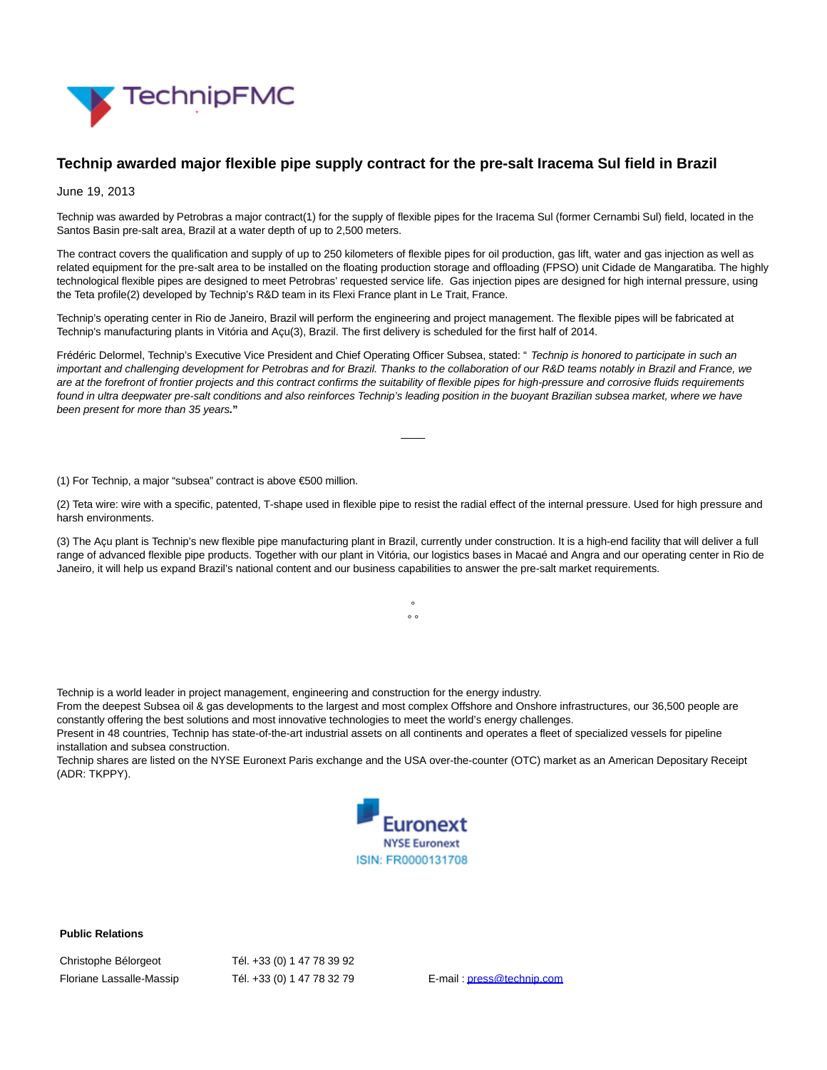

## **Technip awarded major flexible pipe supply contract for the pre-salt Iracema Sul field in Brazil**

June 19, 2013

Technip was awarded by Petrobras a major contract(1) for the supply of flexible pipes for the Iracema Sul (former Cernambi Sul) field, located in the Santos Basin pre-salt area, Brazil at a water depth of up to 2,500 meters.

The contract covers the qualification and supply of up to 250 kilometers of flexible pipes for oil production, gas lift, water and gas injection as well as related equipment for the pre-salt area to be installed on the floating production storage and offloading (FPSO) unit Cidade de Mangaratiba. The highly technological flexible pipes are designed to meet Petrobras' requested service life. Gas injection pipes are designed for high internal pressure, using the Teta profile(2) developed by Technip's R&D team in its Flexi France plant in Le Trait, France.

Technip's operating center in Rio de Janeiro, Brazil will perform the engineering and project management. The flexible pipes will be fabricated at Technip's manufacturing plants in Vitória and Açu(3), Brazil. The first delivery is scheduled for the first half of 2014.

Frédéric Delormel, Technip's Executive Vice President and Chief Operating Officer Subsea, stated: " Technip is honored to participate in such an important and challenging development for Petrobras and for Brazil. Thanks to the collaboration of our R&D teams notably in Brazil and France, we are at the forefront of frontier projects and this contract confirms the suitability of flexible pipes for high-pressure and corrosive fluids requirements found in ultra deepwater pre-salt conditions and also reinforces Technip's leading position in the buoyant Brazilian subsea market, where we have been present for more than 35 years**."**

(1) For Technip, a major "subsea" contract is above €500 million.

(2) Teta wire: wire with a specific, patented, T-shape used in flexible pipe to resist the radial effect of the internal pressure. Used for high pressure and harsh environments.

 $\overline{\phantom{a}}$ 

(3) The Açu plant is Technip's new flexible pipe manufacturing plant in Brazil, currently under construction. It is a high-end facility that will deliver a full range of advanced flexible pipe products. Together with our plant in Vitória, our logistics bases in Macaé and Angra and our operating center in Rio de Janeiro, it will help us expand Brazil's national content and our business capabilities to answer the pre-salt market requirements.

> °  $\circ$

Technip is a world leader in project management, engineering and construction for the energy industry.

From the deepest Subsea oil & gas developments to the largest and most complex Offshore and Onshore infrastructures, our 36,500 people are constantly offering the best solutions and most innovative technologies to meet the world's energy challenges.

Present in 48 countries, Technip has state-of-the-art industrial assets on all continents and operates a fleet of specialized vessels for pipeline installation and subsea construction.

Technip shares are listed on the NYSE Euronext Paris exchange and the USA over-the-counter (OTC) market as an American Depositary Receipt (ADR: TKPPY).



**Public Relations**

Christophe Bélorgeot Tél. +33 (0) 1 47 78 39 92 Floriane Lassalle-Massip Tél. +33 (0) 1 47 78 32 79 E-mail [: press@technip.com](mailto:press@technip.com)